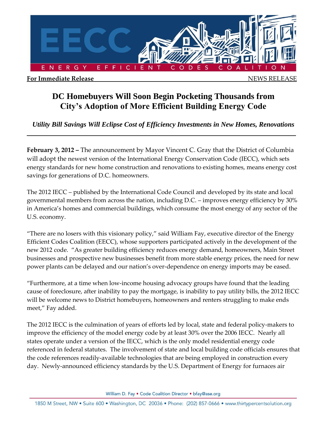

## **DC Homebuyers Will Soon Begin Pocketing Thousands from City's Adoption of More Efficient Building Energy Code**

*Utility Bill Savings Will Eclipse Cost of Efficiency Investments in New Homes, Renovations*

**February 3, 2012 –** The announcement by Mayor Vincent C. Gray that the District of Columbia will adopt the newest version of the International Energy Conservation Code (IECC), which sets energy standards for new home construction and renovations to existing homes, means energy cost savings for generations of D.C. homeowners.

The 2012 IECC – published by the International Code Council and developed by its state and local governmental members from across the nation, including D.C. – improves energy efficiency by 30% in America's homes and commercial buildings, which consume the most energy of any sector of the U.S. economy.

"There are no losers with this visionary policy," said William Fay, executive director of the Energy Efficient Codes Coalition (EECC), whose supporters participated actively in the development of the new 2012 code. "As greater building efficiency reduces energy demand, homeowners, Main Street businesses and prospective new businesses benefit from more stable energy prices, the need for new power plants can be delayed and our nation's over-dependence on energy imports may be eased.

"Furthermore, at a time when low-income housing advocacy groups have found that the leading cause of foreclosure, after inability to pay the mortgage, is inability to pay utility bills, the 2012 IECC will be welcome news to District homebuyers, homeowners and renters struggling to make ends meet," Fay added.

The 2012 IECC is the culmination of years of efforts led by local, state and federal policy-makers to improve the efficiency of the model energy code by at least 30% over the 2006 IECC. Nearly all states operate under a version of the IECC, which is the only model residential energy code referenced in federal statutes. The involvement of state and local building code officials ensures that the code references readily-available technologies that are being employed in construction every day. Newly-announced efficiency standards by the U.S. Department of Energy for furnaces air

William D. Fay . Code Coalition Director . bfay@ase.org